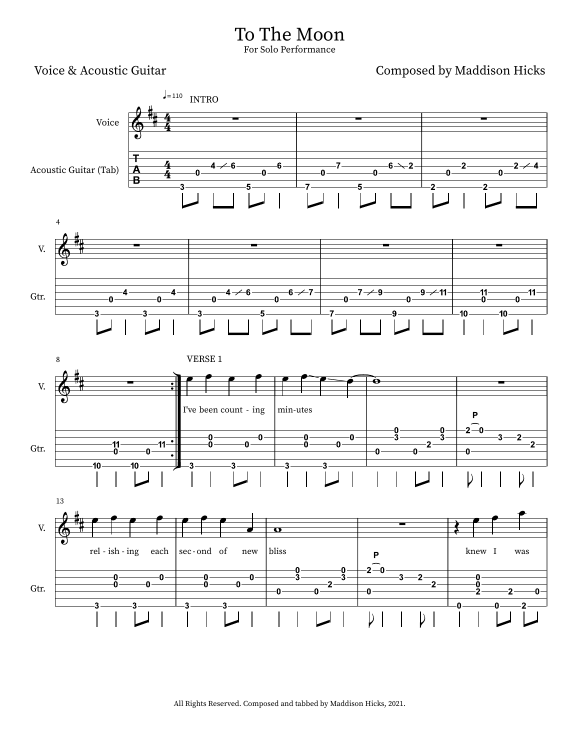## To The Moon For Solo Performance

Voice & Acoustic Guitar Composed by Maddison Hicks

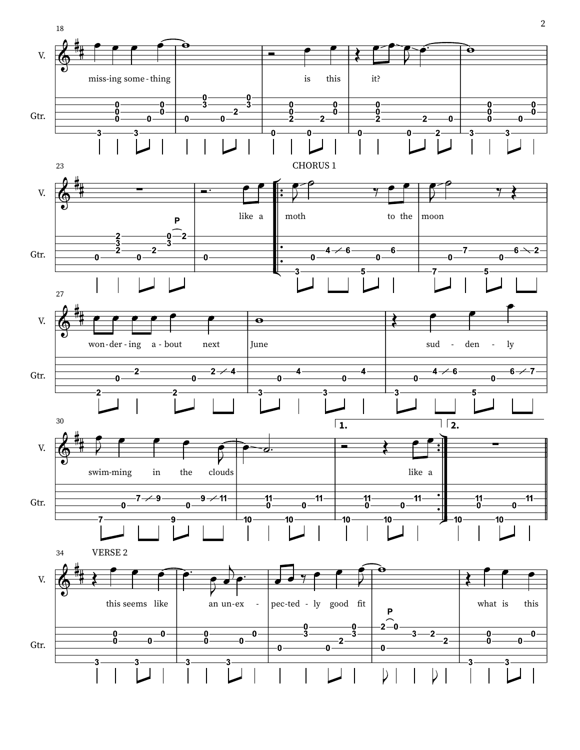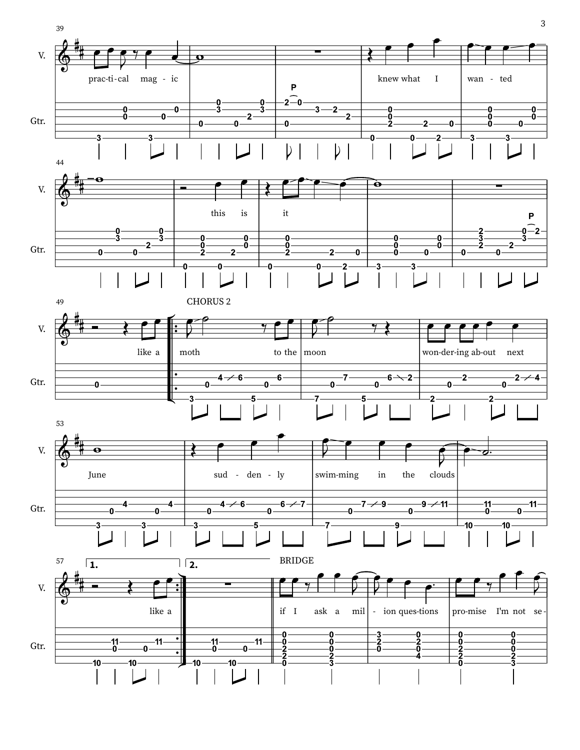

3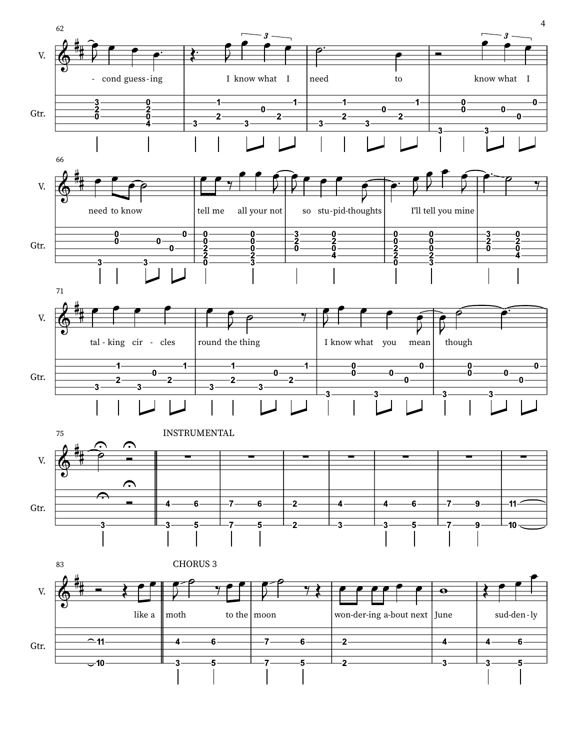